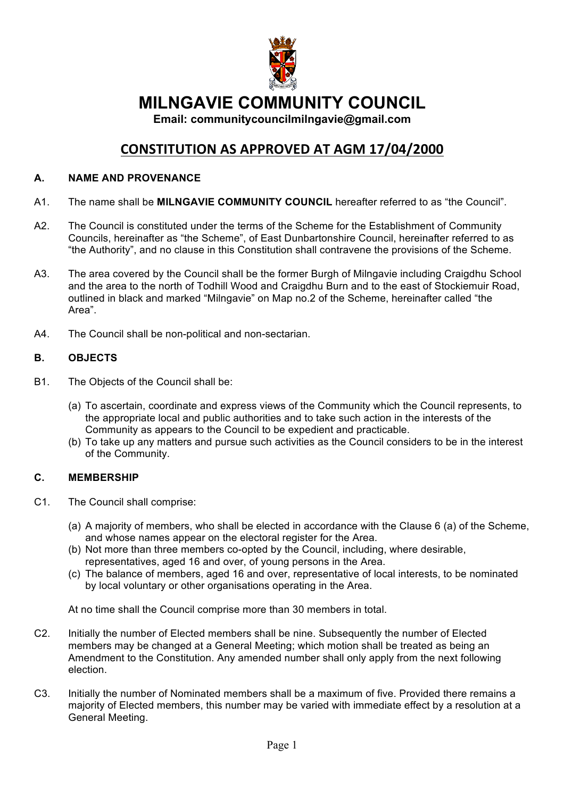

# **MILNGAVIE COMMUNITY COUNCIL**

**Email: communitycouncilmilngavie@gmail.com**

## **CONSTITUTION AS APPROVED AT AGM 17/04/2000**

#### **A. NAME AND PROVENANCE**

- A1. The name shall be **MILNGAVIE COMMUNITY COUNCIL** hereafter referred to as "the Council".
- A2. The Council is constituted under the terms of the Scheme for the Establishment of Community Councils, hereinafter as "the Scheme", of East Dunbartonshire Council, hereinafter referred to as "the Authority", and no clause in this Constitution shall contravene the provisions of the Scheme.
- A3. The area covered by the Council shall be the former Burgh of Milngavie including Craigdhu School and the area to the north of Todhill Wood and Craigdhu Burn and to the east of Stockiemuir Road, outlined in black and marked "Milngavie" on Map no.2 of the Scheme, hereinafter called "the Area".
- A4. The Council shall be non-political and non-sectarian.

## **B. OBJECTS**

- B1. The Objects of the Council shall be:
	- (a) To ascertain, coordinate and express views of the Community which the Council represents, to the appropriate local and public authorities and to take such action in the interests of the Community as appears to the Council to be expedient and practicable.
	- (b) To take up any matters and pursue such activities as the Council considers to be in the interest of the Community.

#### **C. MEMBERSHIP**

- C1. The Council shall comprise:
	- (a) A majority of members, who shall be elected in accordance with the Clause 6 (a) of the Scheme, and whose names appear on the electoral register for the Area.
	- (b) Not more than three members co-opted by the Council, including, where desirable, representatives, aged 16 and over, of young persons in the Area.
	- (c) The balance of members, aged 16 and over, representative of local interests, to be nominated by local voluntary or other organisations operating in the Area.

At no time shall the Council comprise more than 30 members in total.

- C2. Initially the number of Elected members shall be nine. Subsequently the number of Elected members may be changed at a General Meeting; which motion shall be treated as being an Amendment to the Constitution. Any amended number shall only apply from the next following election.
- C3. Initially the number of Nominated members shall be a maximum of five. Provided there remains a majority of Elected members, this number may be varied with immediate effect by a resolution at a General Meeting.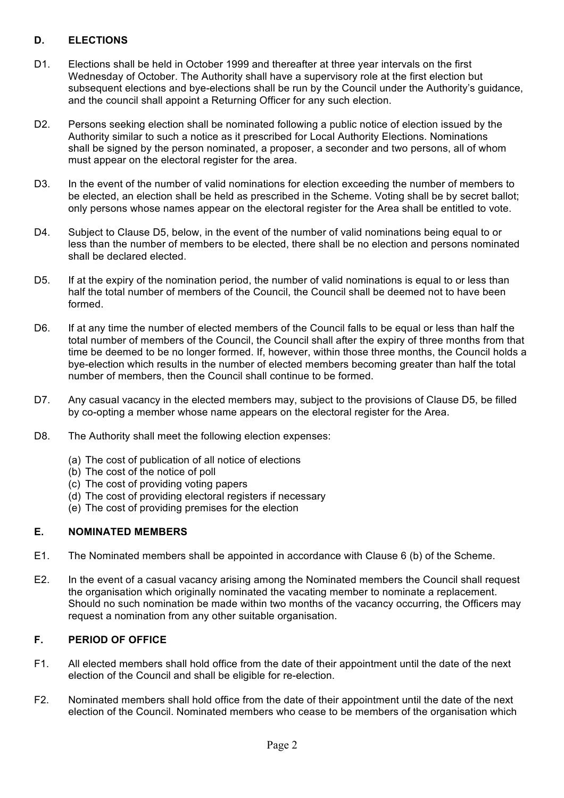## **D. ELECTIONS**

- D1. Elections shall be held in October 1999 and thereafter at three year intervals on the first Wednesday of October. The Authority shall have a supervisory role at the first election but subsequent elections and bye-elections shall be run by the Council under the Authority's guidance, and the council shall appoint a Returning Officer for any such election.
- D2. Persons seeking election shall be nominated following a public notice of election issued by the Authority similar to such a notice as it prescribed for Local Authority Elections. Nominations shall be signed by the person nominated, a proposer, a seconder and two persons, all of whom must appear on the electoral register for the area.
- D3. In the event of the number of valid nominations for election exceeding the number of members to be elected, an election shall be held as prescribed in the Scheme. Voting shall be by secret ballot; only persons whose names appear on the electoral register for the Area shall be entitled to vote.
- D4. Subject to Clause D5, below, in the event of the number of valid nominations being equal to or less than the number of members to be elected, there shall be no election and persons nominated shall be declared elected.
- D5. If at the expiry of the nomination period, the number of valid nominations is equal to or less than half the total number of members of the Council, the Council shall be deemed not to have been formed.
- D6. If at any time the number of elected members of the Council falls to be equal or less than half the total number of members of the Council, the Council shall after the expiry of three months from that time be deemed to be no longer formed. If, however, within those three months, the Council holds a bye-election which results in the number of elected members becoming greater than half the total number of members, then the Council shall continue to be formed.
- D7. Any casual vacancy in the elected members may, subject to the provisions of Clause D5, be filled by co-opting a member whose name appears on the electoral register for the Area.
- D8. The Authority shall meet the following election expenses:
	- (a) The cost of publication of all notice of elections
	- (b) The cost of the notice of poll
	- (c) The cost of providing voting papers
	- (d) The cost of providing electoral registers if necessary
	- (e) The cost of providing premises for the election

#### **E. NOMINATED MEMBERS**

- E1. The Nominated members shall be appointed in accordance with Clause 6 (b) of the Scheme.
- E2. In the event of a casual vacancy arising among the Nominated members the Council shall request the organisation which originally nominated the vacating member to nominate a replacement. Should no such nomination be made within two months of the vacancy occurring, the Officers may request a nomination from any other suitable organisation.

#### **F. PERIOD OF OFFICE**

- F1. All elected members shall hold office from the date of their appointment until the date of the next election of the Council and shall be eligible for re-election.
- F2. Nominated members shall hold office from the date of their appointment until the date of the next election of the Council. Nominated members who cease to be members of the organisation which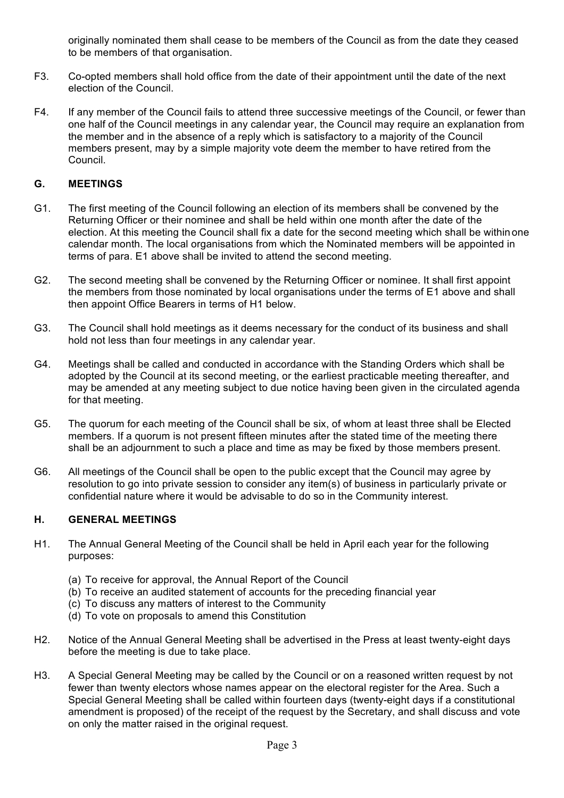originally nominated them shall cease to be members of the Council as from the date they ceased to be members of that organisation.

- F3. Co-opted members shall hold office from the date of their appointment until the date of the next election of the Council.
- F4. If any member of the Council fails to attend three successive meetings of the Council, or fewer than one half of the Council meetings in any calendar year, the Council may require an explanation from the member and in the absence of a reply which is satisfactory to a majority of the Council members present, may by a simple majority vote deem the member to have retired from the Council.

#### **G. MEETINGS**

- G1. The first meeting of the Council following an election of its members shall be convened by the Returning Officer or their nominee and shall be held within one month after the date of the election. At this meeting the Council shall fix a date for the second meeting which shall be within one calendar month. The local organisations from which the Nominated members will be appointed in terms of para. E1 above shall be invited to attend the second meeting.
- G2. The second meeting shall be convened by the Returning Officer or nominee. It shall first appoint the members from those nominated by local organisations under the terms of E1 above and shall then appoint Office Bearers in terms of H1 below.
- G3. The Council shall hold meetings as it deems necessary for the conduct of its business and shall hold not less than four meetings in any calendar year.
- G4. Meetings shall be called and conducted in accordance with the Standing Orders which shall be adopted by the Council at its second meeting, or the earliest practicable meeting thereafter, and may be amended at any meeting subject to due notice having been given in the circulated agenda for that meeting.
- G5. The quorum for each meeting of the Council shall be six, of whom at least three shall be Elected members. If a quorum is not present fifteen minutes after the stated time of the meeting there shall be an adjournment to such a place and time as may be fixed by those members present.
- G6. All meetings of the Council shall be open to the public except that the Council may agree by resolution to go into private session to consider any item(s) of business in particularly private or confidential nature where it would be advisable to do so in the Community interest.

## **H. GENERAL MEETINGS**

- H1. The Annual General Meeting of the Council shall be held in April each year for the following purposes:
	- (a) To receive for approval, the Annual Report of the Council
	- (b) To receive an audited statement of accounts for the preceding financial year
	- (c) To discuss any matters of interest to the Community
	- (d) To vote on proposals to amend this Constitution
- H2. Notice of the Annual General Meeting shall be advertised in the Press at least twenty-eight days before the meeting is due to take place.
- H3. A Special General Meeting may be called by the Council or on a reasoned written request by not fewer than twenty electors whose names appear on the electoral register for the Area. Such a Special General Meeting shall be called within fourteen days (twenty-eight days if a constitutional amendment is proposed) of the receipt of the request by the Secretary, and shall discuss and vote on only the matter raised in the original request.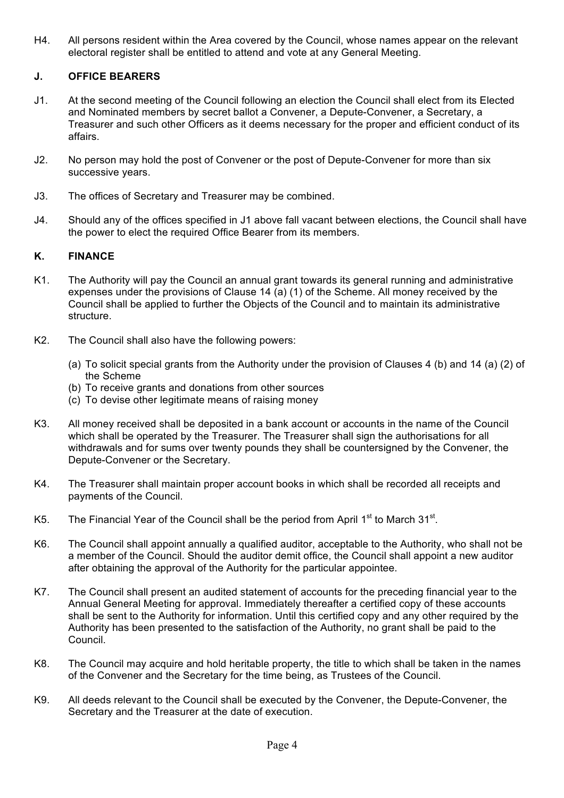H4. All persons resident within the Area covered by the Council, whose names appear on the relevant electoral register shall be entitled to attend and vote at any General Meeting.

## **J. OFFICE BEARERS**

- J1. At the second meeting of the Council following an election the Council shall elect from its Elected and Nominated members by secret ballot a Convener, a Depute-Convener, a Secretary, a Treasurer and such other Officers as it deems necessary for the proper and efficient conduct of its affairs.
- J2. No person may hold the post of Convener or the post of Depute-Convener for more than six successive years.
- J3. The offices of Secretary and Treasurer may be combined.
- J4. Should any of the offices specified in J1 above fall vacant between elections, the Council shall have the power to elect the required Office Bearer from its members.

## **K. FINANCE**

- K1. The Authority will pay the Council an annual grant towards its general running and administrative expenses under the provisions of Clause 14 (a) (1) of the Scheme. All money received by the Council shall be applied to further the Objects of the Council and to maintain its administrative structure.
- K2. The Council shall also have the following powers:
	- (a) To solicit special grants from the Authority under the provision of Clauses 4 (b) and 14 (a) (2) of the Scheme
	- (b) To receive grants and donations from other sources
	- (c) To devise other legitimate means of raising money
- K3. All money received shall be deposited in a bank account or accounts in the name of the Council which shall be operated by the Treasurer. The Treasurer shall sign the authorisations for all withdrawals and for sums over twenty pounds they shall be countersigned by the Convener, the Depute-Convener or the Secretary.
- K4. The Treasurer shall maintain proper account books in which shall be recorded all receipts and payments of the Council.
- K5. The Financial Year of the Council shall be the period from April  $1<sup>st</sup>$  to March  $31<sup>st</sup>$ .
- K6. The Council shall appoint annually a qualified auditor, acceptable to the Authority, who shall not be a member of the Council. Should the auditor demit office, the Council shall appoint a new auditor after obtaining the approval of the Authority for the particular appointee.
- K7. The Council shall present an audited statement of accounts for the preceding financial year to the Annual General Meeting for approval. Immediately thereafter a certified copy of these accounts shall be sent to the Authority for information. Until this certified copy and any other required by the Authority has been presented to the satisfaction of the Authority, no grant shall be paid to the Council.
- K8. The Council may acquire and hold heritable property, the title to which shall be taken in the names of the Convener and the Secretary for the time being, as Trustees of the Council.
- K9. All deeds relevant to the Council shall be executed by the Convener, the Depute-Convener, the Secretary and the Treasurer at the date of execution.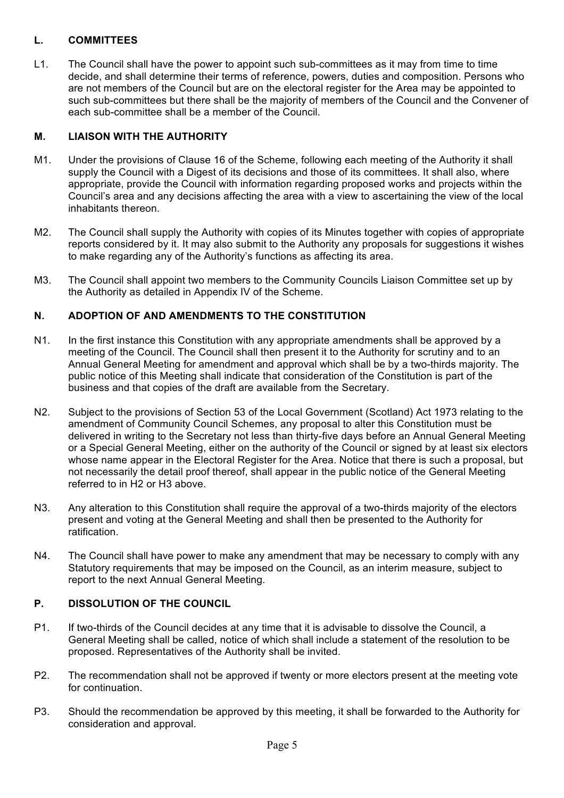## **L. COMMITTEES**

L1. The Council shall have the power to appoint such sub-committees as it may from time to time decide, and shall determine their terms of reference, powers, duties and composition. Persons who are not members of the Council but are on the electoral register for the Area may be appointed to such sub-committees but there shall be the majority of members of the Council and the Convener of each sub-committee shall be a member of the Council.

## **M. LIAISON WITH THE AUTHORITY**

- M1. Under the provisions of Clause 16 of the Scheme, following each meeting of the Authority it shall supply the Council with a Digest of its decisions and those of its committees. It shall also, where appropriate, provide the Council with information regarding proposed works and projects within the Council's area and any decisions affecting the area with a view to ascertaining the view of the local inhabitants thereon.
- M2. The Council shall supply the Authority with copies of its Minutes together with copies of appropriate reports considered by it. It may also submit to the Authority any proposals for suggestions it wishes to make regarding any of the Authority's functions as affecting its area.
- M3. The Council shall appoint two members to the Community Councils Liaison Committee set up by the Authority as detailed in Appendix IV of the Scheme.

#### **N. ADOPTION OF AND AMENDMENTS TO THE CONSTITUTION**

- N1. In the first instance this Constitution with any appropriate amendments shall be approved by a meeting of the Council. The Council shall then present it to the Authority for scrutiny and to an Annual General Meeting for amendment and approval which shall be by a two-thirds majority. The public notice of this Meeting shall indicate that consideration of the Constitution is part of the business and that copies of the draft are available from the Secretary.
- N2. Subject to the provisions of Section 53 of the Local Government (Scotland) Act 1973 relating to the amendment of Community Council Schemes, any proposal to alter this Constitution must be delivered in writing to the Secretary not less than thirty-five days before an Annual General Meeting or a Special General Meeting, either on the authority of the Council or signed by at least six electors whose name appear in the Electoral Register for the Area. Notice that there is such a proposal, but not necessarily the detail proof thereof, shall appear in the public notice of the General Meeting referred to in H2 or H3 above.
- N3. Any alteration to this Constitution shall require the approval of a two-thirds majority of the electors present and voting at the General Meeting and shall then be presented to the Authority for ratification.
- N4. The Council shall have power to make any amendment that may be necessary to comply with any Statutory requirements that may be imposed on the Council, as an interim measure, subject to report to the next Annual General Meeting.

## **P. DISSOLUTION OF THE COUNCIL**

- P1. If two-thirds of the Council decides at any time that it is advisable to dissolve the Council, a General Meeting shall be called, notice of which shall include a statement of the resolution to be proposed. Representatives of the Authority shall be invited.
- P2. The recommendation shall not be approved if twenty or more electors present at the meeting vote for continuation.
- P3. Should the recommendation be approved by this meeting, it shall be forwarded to the Authority for consideration and approval.